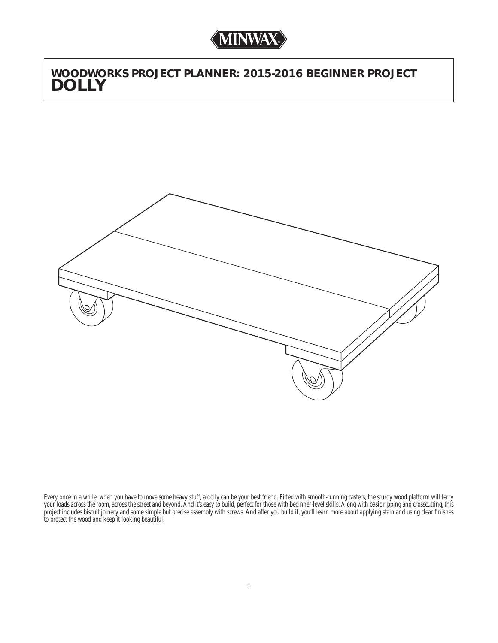*WOODWORKS PROJECT PLANNER: 2015-2016 BEGINNER PROJECT DOLLY*



Every once in a while, when you have to move some heavy stuff, a dolly can be your best friend. Fitted with smooth-running casters, the sturdy wood platform will ferry your loads across the room, across the street and beyond. And it's easy to build, perfect for those with beginner-level skills. Along with basic ripping and crosscutting, this project includes biscuit joinery and some simple but precise assembly with screws. And after you build it, you'll learn more about applying stain and using clear finishes to protect the wood and keep it looking beautiful.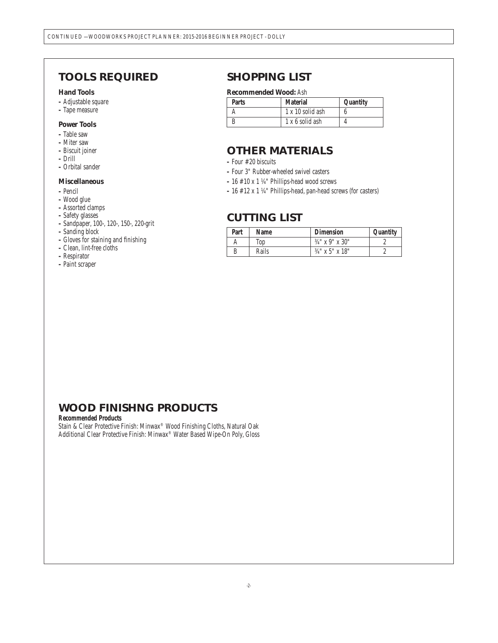# *TOOLS REQUIRED*

### **Hand Tools**

- Adjustable square
- Tape measure

### **Power Tools**

- Table saw
- Miter saw
- Biscuit joiner
- Drill
- Orbital sander

### **Miscellaneous**

- Pencil
- Wood glue
- Assorted clamps
- Safety glasses
- Sandpaper, 100-, 120-, 150-, 220-grit
- Sanding block
- Gloves for staining and fi nishing
- Clean, lint-free cloths
- Respirator
- Paint scraper

## *SHOPPING LIST*

### **Recommended Wood:** Ash

| <b>Parts</b> | <b>Material</b>  | Quantity |
|--------------|------------------|----------|
|              | 1 x 10 solid ash |          |
|              | 1 x 6 solid ash  |          |

# *OTHER MATERIALS*

- Four #20 biscuits
- Four 3" Rubber-wheeled swivel casters
- 16 #10 x 1 ¼" Phillips-head wood screws
- 16 #12 x 1 ¼" Phillips-head, pan-head screws (for casters)

### *CUTTING LIST*

| Part | Name  | <b>Dimension</b>  | Quantity |
|------|-------|-------------------|----------|
| A    | Top   | $34''$ x 9" x 30" |          |
| B    | Rails | $34''$ x 5" x 18" |          |

# *WOOD FINISHNG PRODUCTS*

#### **Recommended Products**

Stain & Clear Protective Finish: Minwax® Wood Finishing Cloths, Natural Oak Additional Clear Protective Finish: Minwax® Water Based Wipe-On Poly, Gloss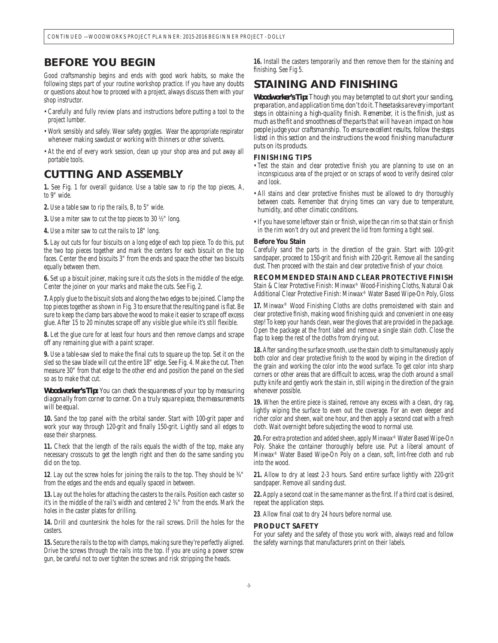### *BEFORE YOU BEGIN*

Good craftsmanship begins and ends with good work habits, so make the following steps part of your routine workshop practice. If you have any doubts or questions about how to proceed with a project, always discuss them with your shop instructor.

- Carefully and fully review plans and instructions before putting a tool to the project lumber.
- Work sensibly and safely. Wear safety goggles. Wear the appropriate respirator whenever making sawdust or working with thinners or other solvents.
- At the end of every work session, clean up your shop area and put away all portable tools.

## *CUTTING AND ASSEMBLY*

**1.** See Fig. 1 for overall guidance. Use a table saw to rip the top pieces, A, to 9" wide.

**2.** Use a table saw to rip the rails, B, to 5" wide.

**3.** Use a miter saw to cut the top pieces to 30 ½" long.

**4.** Use a miter saw to cut the rails to 18" long.

**5.** Lay out cuts for four biscuits on a long edge of each top piece. To do this, put the two top pieces together and mark the centers for each biscuit on the top faces. Center the end biscuits 3" from the ends and space the other two biscuits equally between them.

**6.** Set up a biscuit joiner, making sure it cuts the slots in the middle of the edge. Center the joiner on your marks and make the cuts. See Fig. 2.

**7.** Apply glue to the biscuit slots and along the two edges to be joined. Clamp the top pieces together as shown in Fig. 3 to ensure that the resulting panel is flat. Be sure to keep the clamp bars above the wood to make it easier to scrape off excess glue. After 15 to 20 minutes scrape off any visible glue while it's still flexible.

**8.** Let the glue cure for at least four hours and then remove clamps and scrape off any remaining glue with a paint scraper.

**9.** Use a table-saw sled to make the final cuts to square up the top. Set it on the sled so the saw blade will cut the entire 18" edge. See Fig. 4. Make the cut. Then measure 30" from that edge to the other end and position the panel on the sled so as to make that cut.

*Woodworker's Tip: You can check the squareness of your top by measuring diagonally from corner to corner. On a truly square piece, the measurements will be equal.*

**10.** Sand the top panel with the orbital sander. Start with 100-grit paper and work your way through 120-grit and finally 150-grit. Lightly sand all edges to ease their sharpness.

**11.** Check that the length of the rails equals the width of the top, make any necessary crosscuts to get the length right and then do the same sanding you did on the top.

**12**. Lay out the screw holes for joining the rails to the top. They should be ¾" from the edges and the ends and equally spaced in between.

**13.** Lay out the holes for attaching the casters to the rails. Position each caster so it's in the middle of the rail's width and centered 2 ¾" from the ends. Mark the holes in the caster plates for drilling.

**14.** Drill and countersink the holes for the rail screws. Drill the holes for the casters.

**15.** Secure the rails to the top with clamps, making sure they're perfectly aligned. Drive the screws through the rails into the top. If you are using a power screw gun, be careful not to over tighten the screws and risk stripping the heads.

**16.** Install the casters temporarily and then remove them for the staining and finishing. See Fig 5.

# *STAINING AND FINISHING*

*Woodworker's Tip: Though you may be tempted to cut short your sanding, preparation, and application time, don't do it. These tasks are very important steps in obtaining a high-quality finish. Remember, it is the finish, just as much as the fi t and smoothness of the parts that will have an impact on how people judge your craftsmanship. To ensure excellent results, follow the steps*  listed in this section and the instructions the wood finishing manufacturer *puts on its products.*

### **FINISHING TIPS**

- Test the stain and clear protective finish you are planning to use on an inconspicuous area of the project or on scraps of wood to verify desired color and look.
- All stains and clear protective finishes must be allowed to dry thoroughly between coats. Remember that drying times can vary due to temperature, humidity, and other climatic conditions.
- If you have some leftover stain or finish, wipe the can rim so that stain or finish in the rim won't dry out and prevent the lid from forming a tight seal.

#### **Before You Stain**

Carefully sand the parts in the direction of the grain. Start with 100-grit sandpaper, proceed to 150-grit and finish with 220-grit. Remove all the sanding dust. Then proceed with the stain and clear protective finish of your choice.

### **RECOMMENDED STAIN AND CLEAR PROTECTIVE FINISH**

Stain & Clear Protective Finish: Minwax® Wood-Finishing Cloths, Natural Oak Additional Clear Protective Finish: Minwax® Water Based Wipe-On Poly, Gloss

**17.** Minwax® Wood Finishing Cloths are cloths premoistened with stain and clear protective finish, making wood finishing quick and convenient in one easy step! To keep your hands clean, wear the gloves that are provided in the package. Open the package at the front label and remove a single stain cloth. Close the flap to keep the rest of the cloths from drying out.

**18.** After sanding the surface smooth, use the stain cloth to simultaneously apply both color and clear protective finish to the wood by wiping in the direction of the grain and working the color into the wood surface. To get color into sharp corners or other areas that are difficult to access, wrap the cloth around a small putty knife and gently work the stain in, still wiping in the direction of the grain whenever possible.

**19.** When the entire piece is stained, remove any excess with a clean, dry rag, lightly wiping the surface to even out the coverage. For an even deeper and richer color and sheen, wait one hour, and then apply a second coat with a fresh cloth. Wait overnight before subjecting the wood to normal use.

**20.** For extra protection and added sheen, apply Minwax® Water Based Wipe-On Poly. Shake the container thoroughly before use. Put a liberal amount of Minwax® Water Based Wipe-On Poly on a clean, soft, lint-free cloth and rub into the wood.

**21.** Allow to dry at least 2-3 hours. Sand entire surface lightly with 220-grit sandpaper. Remove all sanding dust.

22. Apply a second coat in the same manner as the first. If a third coat is desired, repeat the application steps.

23. Allow final coat to dry 24 hours before normal use.

### **PRODUCT SAFETY**

For your safety and the safety of those you work with, always read and follow the safety warnings that manufacturers print on their labels.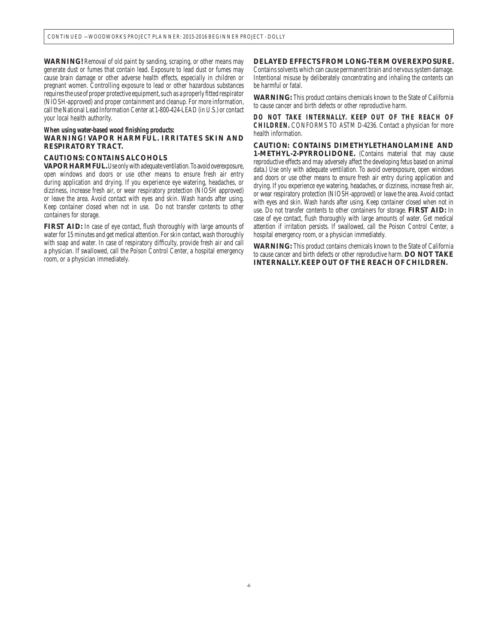**WARNING!** Removal of old paint by sanding, scraping, or other means may generate dust or fumes that contain lead. Exposure to lead dust or fumes may cause brain damage or other adverse health effects, especially in children or pregnant women. Controlling exposure to lead or other hazardous substances requires the use of proper protective equipment, such as a properly fitted respirator (NIOSH-approved) and proper containment and cleanup. For more information, call the National Lead Information Center at 1-800-424-LEAD (in U.S.) or contact your local health authority.

### **When using water-based wood finishing products:**

### **WARNING! VAPOR HARMFUL. IRRITATES SKIN AND RESPIRATORY TRACT.**

### **CAUTIONS: CONTAINS ALCOHOLS**

**VAPOR HARMFUL.** Use only with adequate ventilation. To avoid overexposure, open windows and doors or use other means to ensure fresh air entry during application and drying. If you experience eye watering, headaches, or dizziness, increase fresh air, or wear respiratory protection (NIOSH approved) or leave the area. Avoid contact with eyes and skin. Wash hands after using. Keep container closed when not in use. Do not transfer contents to other containers for storage.

**FIRST AID:** In case of eye contact, flush thoroughly with large amounts of water for 15 minutes and get medical attention. For skin contact, wash thoroughly with soap and water. In case of respiratory difficulty, provide fresh air and call a physician. If swallowed, call the Poison Control Center, a hospital emergency room, or a physician immediately.

### **DELAYED EFFECTS FROM LONG-TERM OVEREXPOSURE.**

Contains solvents which can cause permanent brain and nervous system damage. Intentional misuse by deliberately concentrating and inhaling the contents can be harmful or fatal.

**WARNING:** This product contains chemicals known to the State of California to cause cancer and birth defects or other reproductive harm.

**DO NOT TAKE INTERNALLY. KEEP OUT OF THE REACH OF CHILDREN.** CONFORMS TO ASTM D-4236. Contact a physician for more health information.

**CAUTION: CONTAINS DIMETHYLETHANOLAMINE AND 1-METHYL-2-PYRROLIDONE.** (Contains material that may cause reproductive effects and may adversely affect the developing fetus based on animal data.) Use only with adequate ventilation. To avoid overexposure, open windows and doors or use other means to ensure fresh air entry during application and drying. If you experience eye watering, headaches, or dizziness, increase fresh air, or wear respiratory protection (NIOSH-approved) or leave the area. Avoid contact with eyes and skin. Wash hands after using. Keep container closed when not in use. Do not transfer contents to other containers for storage. **FIRST AID:** In case of eye contact, flush thoroughly with large amounts of water. Get medical attention if irritation persists. If swallowed, call the Poison Control Center, a hospital emergency room, or a physician immediately.

**WARNING:** This product contains chemicals known to the State of California to cause cancer and birth defects or other reproductive harm. **DO NOT TAKE INTERNALLY. KEEP OUT OF THE REACH OF CHILDREN.**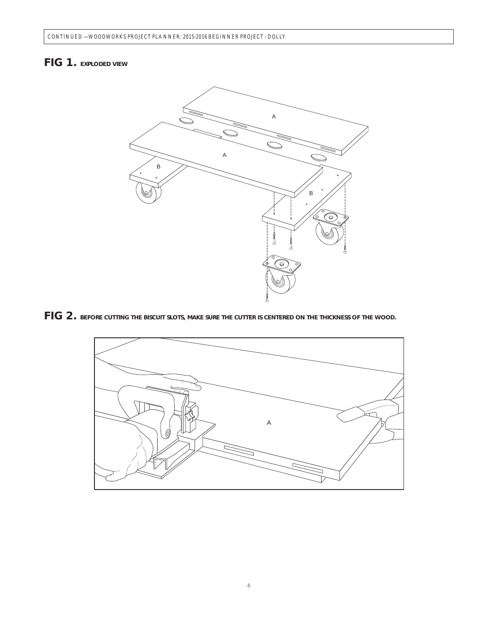# *FIG 1. EXPLODED VIEW*



*FIG 2. BEFORE CUTTING THE BISCUIT SLOTS, MAKE SURE THE CUTTER IS CENTERED ON THE THICKNESS OF THE WOOD.*

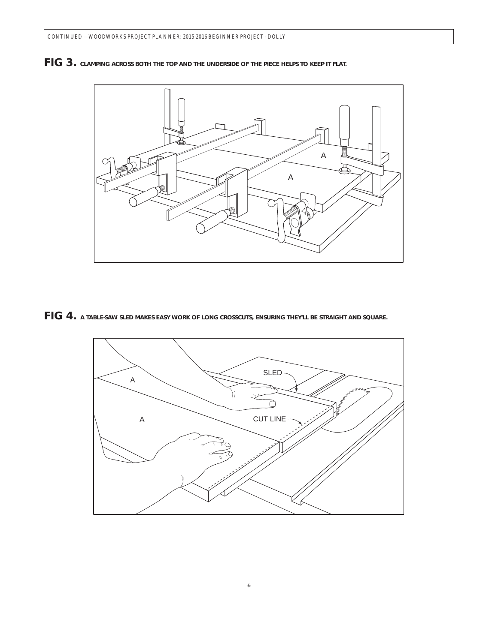

*FIG 3. CLAMPING ACROSS BOTH THE TOP AND THE UNDERSIDE OF THE PIECE HELPS TO KEEP IT FLAT.*

*FIG 4. A TABLE-SAW SLED MAKES EASY WORK OF LONG CROSSCUTS, ENSURING THEY'LL BE STRAIGHT AND SQUARE.*